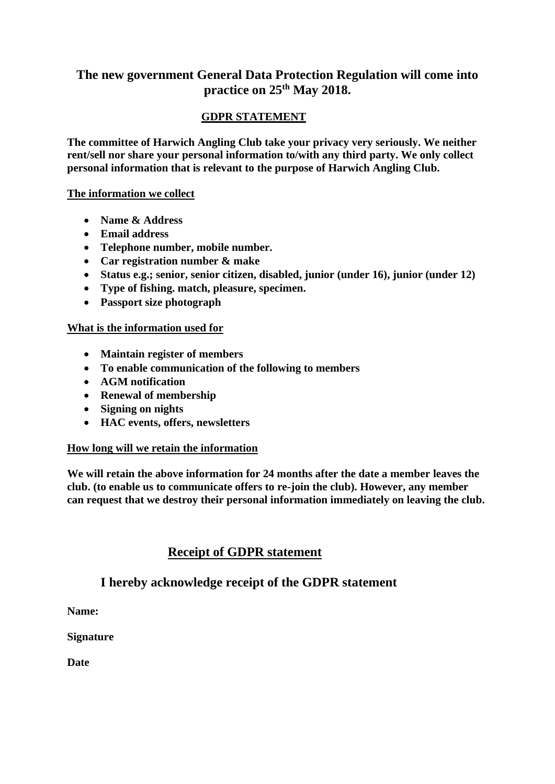# **The new government General Data Protection Regulation will come into practice on 25th May 2018.**

### **GDPR STATEMENT**

**The committee of Harwich Angling Club take your privacy very seriously. We neither rent/sell nor share your personal information to/with any third party. We only collect personal information that is relevant to the purpose of Harwich Angling Club.**

#### **The information we collect**

- **Name & Address**
- **Email address**
- **Telephone number, mobile number.**
- **Car registration number & make**
- **Status e.g.; senior, senior citizen, disabled, junior (under 16), junior (under 12)**
- **Type of fishing. match, pleasure, specimen.**
- **Passport size photograph**

#### **What is the information used for**

- **Maintain register of members**
- **To enable communication of the following to members**
- **AGM notification**
- **Renewal of membership**
- **Signing on nights**
- **HAC events, offers, newsletters**

#### **How long will we retain the information**

**We will retain the above information for 24 months after the date a member leaves the club. (to enable us to communicate offers to re-join the club). However, any member can request that we destroy their personal information immediately on leaving the club.**

# **Receipt of GDPR statement**

# **I hereby acknowledge receipt of the GDPR statement**

**Name:**

**Signature**

**Date**